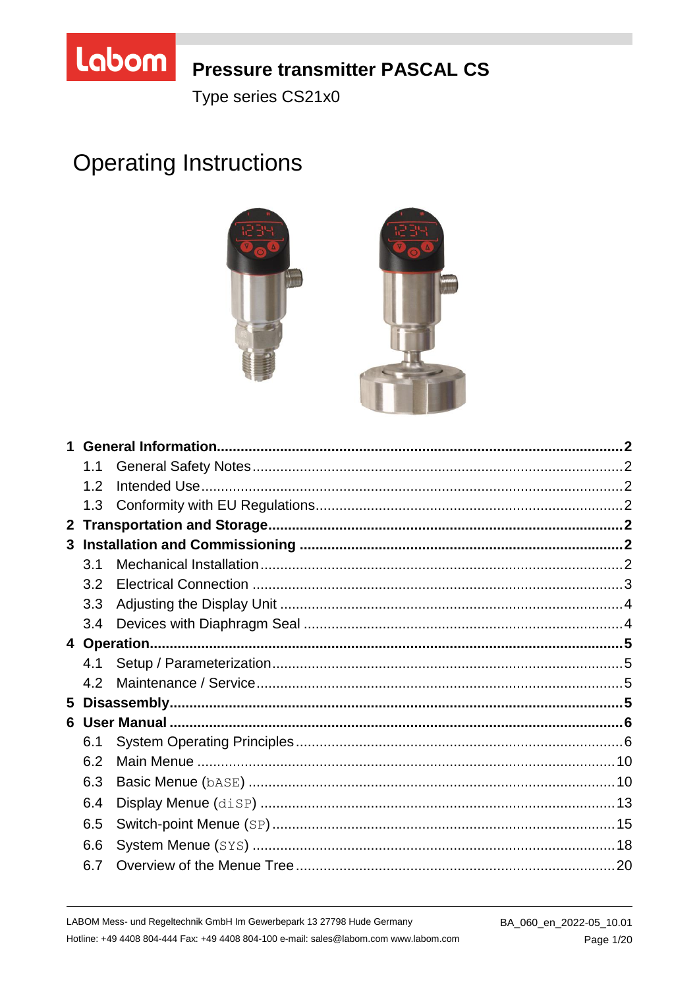

## **Pressure transmitter PASCAL CS**

Type series CS21x0

# **Operating Instructions**



|                | 1.1 |  |
|----------------|-----|--|
|                | 1.2 |  |
|                | 1.3 |  |
| 2 <sup>1</sup> |     |  |
|                |     |  |
|                | 3.1 |  |
|                | 3.2 |  |
|                | 3.3 |  |
|                | 3.4 |  |
|                |     |  |
|                | 4.1 |  |
|                | 4.2 |  |
| 5              |     |  |
|                |     |  |
|                | 6.1 |  |
|                | 6.2 |  |
|                | 6.3 |  |
|                | 6.4 |  |
|                | 6.5 |  |
|                | 6.6 |  |
|                | 6.7 |  |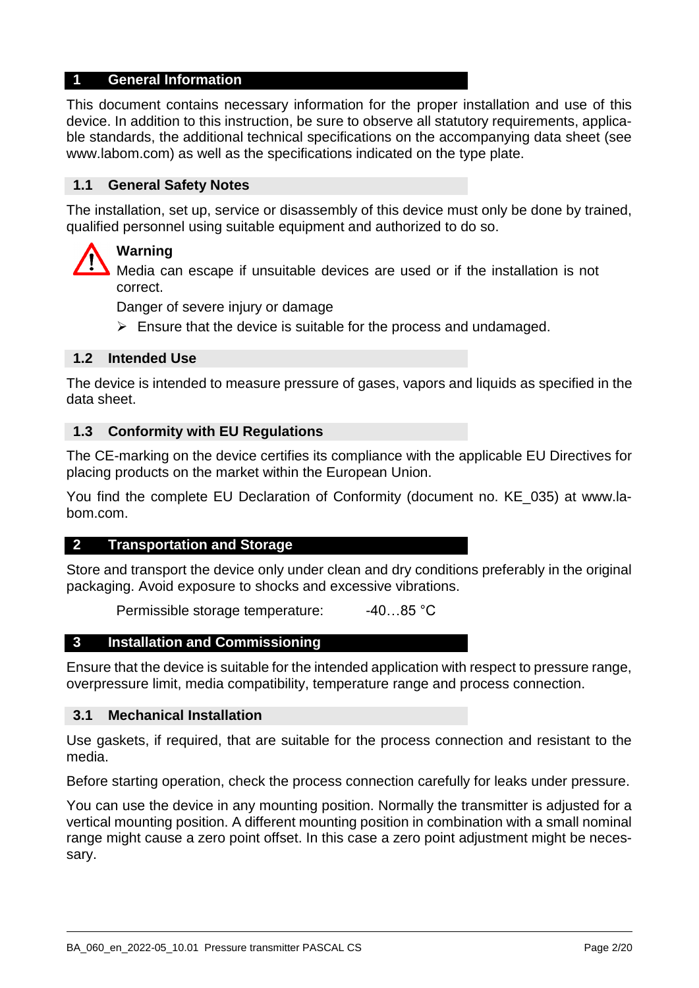#### **1 General Information**

This document contains necessary information for the proper installation and use of this device. In addition to this instruction, be sure to observe all statutory requirements, applicable standards, the additional technical specifications on the accompanying data sheet (see www.labom.com) as well as the specifications indicated on the type plate.

## **1.1 General Safety Notes**

The installation, set up, service or disassembly of this device must only be done by trained, qualified personnel using suitable equipment and authorized to do so.

## **Warning**

Media can escape if unsuitable devices are used or if the installation is not correct.

Danger of severe injury or damage

 $\triangleright$  Ensure that the device is suitable for the process and undamaged.

## **1.2 Intended Use**

The device is intended to measure pressure of gases, vapors and liquids as specified in the data sheet.

#### **1.3 Conformity with EU Regulations**

The CE-marking on the device certifies its compliance with the applicable EU Directives for placing products on the market within the European Union.

You find the complete EU Declaration of Conformity (document no. KE\_035) at www.labom.com.

#### **2 Transportation and Storage**

Store and transport the device only under clean and dry conditions preferably in the original packaging. Avoid exposure to shocks and excessive vibrations.

Permissible storage temperature: -40...85 °C

#### **3 Installation and Commissioning**

Ensure that the device is suitable for the intended application with respect to pressure range, overpressure limit, media compatibility, temperature range and process connection.

#### **3.1 Mechanical Installation**

Use gaskets, if required, that are suitable for the process connection and resistant to the media.

Before starting operation, check the process connection carefully for leaks under pressure.

You can use the device in any mounting position. Normally the transmitter is adjusted for a vertical mounting position. A different mounting position in combination with a small nominal range might cause a zero point offset. In this case a zero point adjustment might be necessary.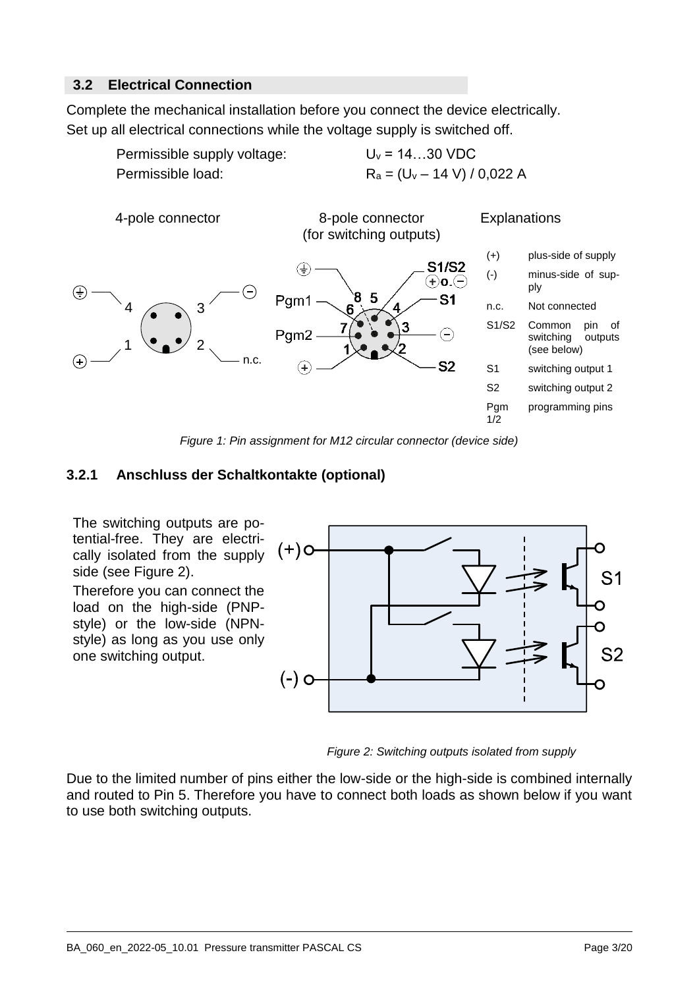## **3.2 Electrical Connection**

Complete the mechanical installation before you connect the device electrically. Set up all electrical connections while the voltage supply is switched off.



*Figure 1: Pin assignment for M12 circular connector (device side)*

## **3.2.1 Anschluss der Schaltkontakte (optional)**

The switching outputs are potential-free. They are electrically isolated from the supply side [\(see Figure 2\).](#page-2-0)

Therefore you can connect the load on the high-side (PNPstyle) or the low-side (NPNstyle) as long as you use only one switching output.



<span id="page-2-0"></span>*Figure 2: Switching outputs isolated from supply*

Due to the limited number of pins either the low-side or the high-side is combined internally and routed to Pin 5. Therefore you have to connect both loads as shown below if you want to use both switching outputs.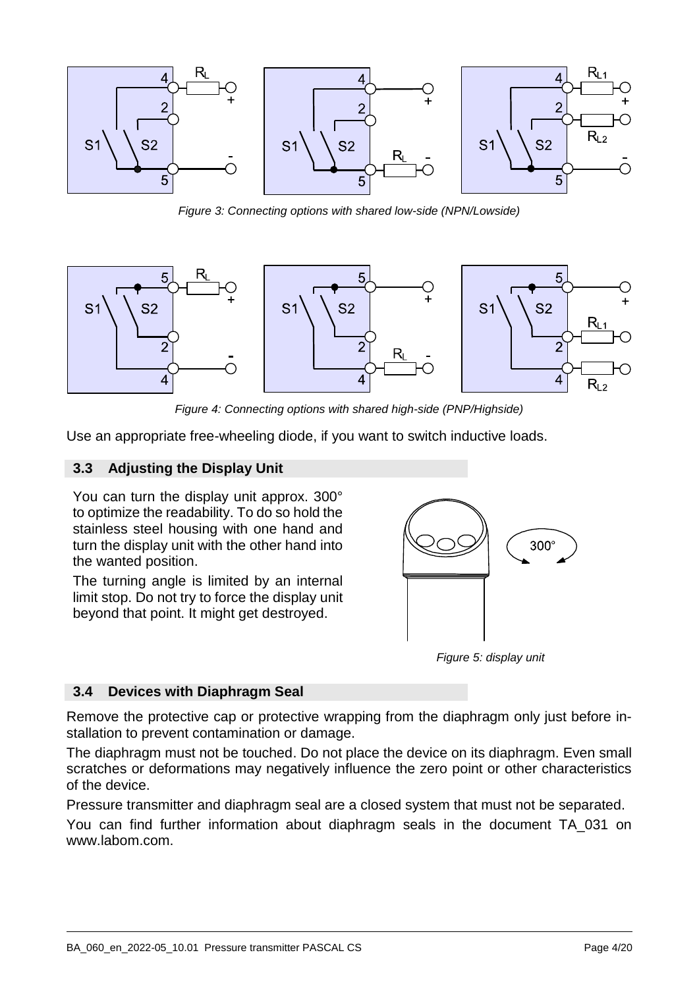

*Figure 3: Connecting options with shared low-side (NPN/Lowside)*



*Figure 4: Connecting options with shared high-side (PNP/Highside)*

Use an appropriate free-wheeling diode, if you want to switch inductive loads.

#### **3.3 Adjusting the Display Unit**

You can turn the display unit approx. 300° to optimize the readability. To do so hold the stainless steel housing with one hand and turn the display unit with the other hand into the wanted position.

The turning angle is limited by an internal limit stop. Do not try to force the display unit beyond that point. It might get destroyed.



*Figure 5: display unit*

#### **3.4 Devices with Diaphragm Seal**

Remove the protective cap or protective wrapping from the diaphragm only just before installation to prevent contamination or damage.

The diaphragm must not be touched. Do not place the device on its diaphragm. Even small scratches or deformations may negatively influence the zero point or other characteristics of the device.

Pressure transmitter and diaphragm seal are a closed system that must not be separated.

You can find further information about diaphragm seals in the document TA\_031 on www.labom.com.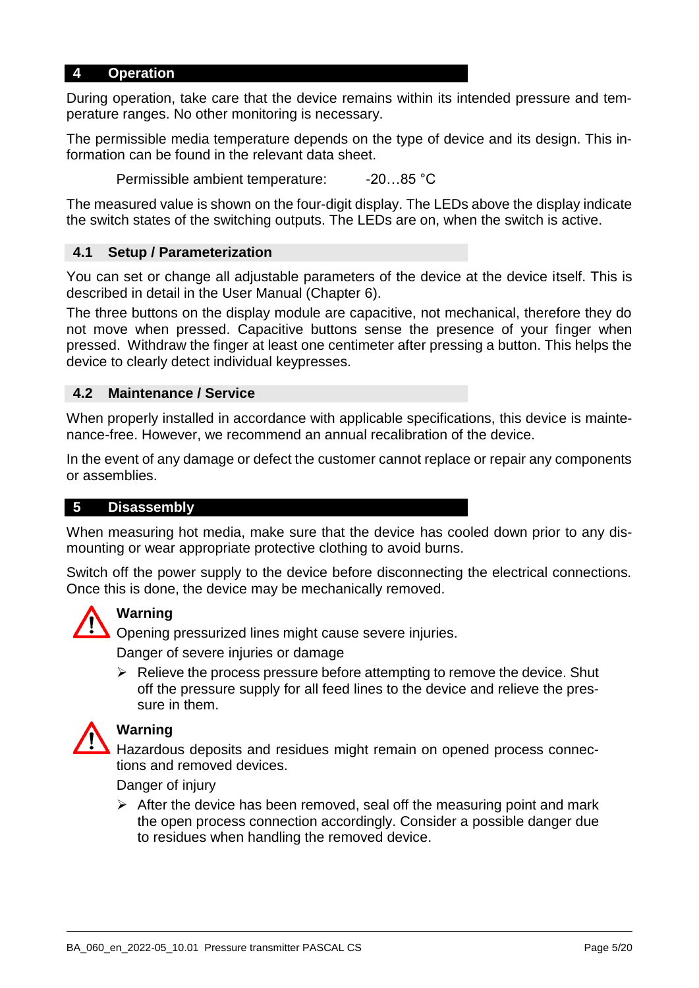#### **4 Operation**

During operation, take care that the device remains within its intended pressure and temperature ranges. No other monitoring is necessary.

The permissible media temperature depends on the type of device and its design. This information can be found in the relevant data sheet.

Permissible ambient temperature: -20...85 °C

The measured value is shown on the four-digit display. The LEDs above the display indicate the switch states of the switching outputs. The LEDs are on, when the switch is active.

#### **4.1 Setup / Parameterization**

You can set or change all adjustable parameters of the device at the device itself. This is described in detail in the User Manual (Chapter [6\)](#page-5-0).

The three buttons on the display module are capacitive, not mechanical, therefore they do not move when pressed. Capacitive buttons sense the presence of your finger when pressed. Withdraw the finger at least one centimeter after pressing a button. This helps the device to clearly detect individual keypresses.

#### **4.2 Maintenance / Service**

When properly installed in accordance with applicable specifications, this device is maintenance-free. However, we recommend an annual recalibration of the device.

In the event of any damage or defect the customer cannot replace or repair any components or assemblies.

#### **5 Disassembly**

When measuring hot media, make sure that the device has cooled down prior to any dismounting or wear appropriate protective clothing to avoid burns.

Switch off the power supply to the device before disconnecting the electrical connections. Once this is done, the device may be mechanically removed.



#### **Warning**

Opening pressurized lines might cause severe injuries.

Danger of severe injuries or damage

 $\triangleright$  Relieve the process pressure before attempting to remove the device. Shut off the pressure supply for all feed lines to the device and relieve the pressure in them.



## **Warning**

Hazardous deposits and residues might remain on opened process connections and removed devices.

Danger of injury

 $\triangleright$  After the device has been removed, seal off the measuring point and mark the open process connection accordingly. Consider a possible danger due to residues when handling the removed device.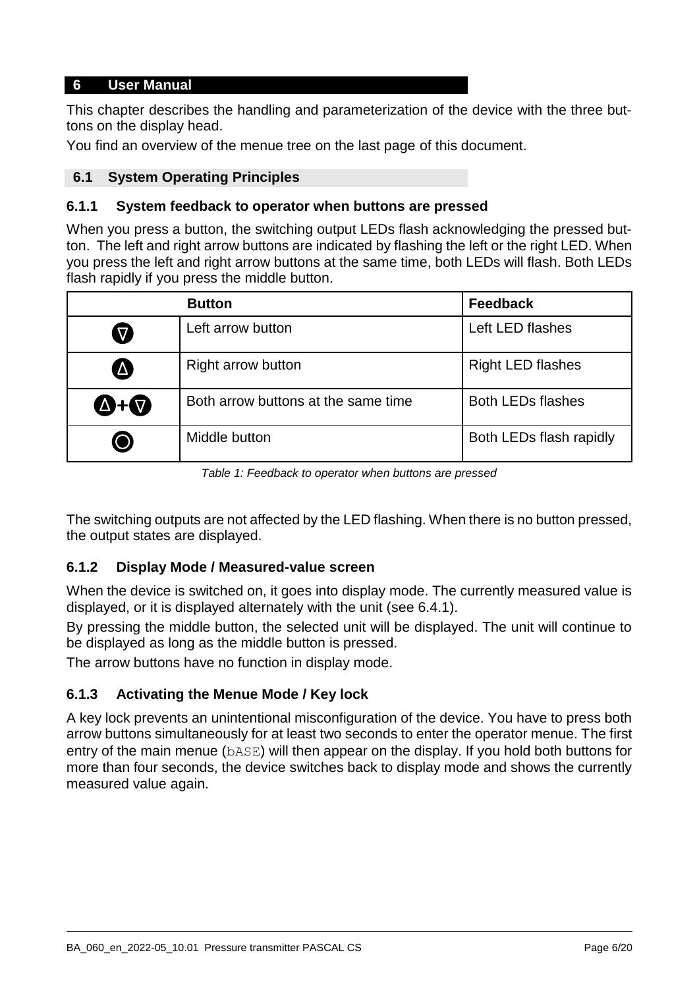## <span id="page-5-0"></span>**6 User Manual**

This chapter describes the handling and parameterization of the device with the three buttons on the display head.

You find an overview of the menue tree on the last page of this document.

## **6.1 System Operating Principles**

## **6.1.1 System feedback to operator when buttons are pressed**

When you press a button, the switching output LEDs flash acknowledging the pressed button. The left and right arrow buttons are indicated by flashing the left or the right LED. When you press the left and right arrow buttons at the same time, both LEDs will flash. Both LEDs flash rapidly if you press the middle button.

|                     | <b>Button</b>                       | <b>Feedback</b>          |
|---------------------|-------------------------------------|--------------------------|
| $\bm{\nabla}$       | Left arrow button                   | Left LED flashes         |
| A                   | <b>Right arrow button</b>           | <b>Right LED flashes</b> |
| $\bigcirc$ + $\neg$ | Both arrow buttons at the same time | <b>Both LEDs flashes</b> |
| (())                | Middle button                       | Both LEDs flash rapidly  |

*Table 1: Feedback to operator when buttons are pressed*

The switching outputs are not affected by the LED flashing. When there is no button pressed, the output states are displayed.

## **6.1.2 Display Mode / Measured-value screen**

When the device is switched on, it goes into display mode. The currently measured value is displayed, or it is displayed alternately with the unit [\(see 6.4.1\)](#page-12-0).

By pressing the middle button, the selected unit will be displayed. The unit will continue to be displayed as long as the middle button is pressed.

The arrow buttons have no function in display mode.

## **6.1.3 Activating the Menue Mode / Key lock**

A key lock prevents an unintentional misconfiguration of the device. You have to press both arrow buttons simultaneously for at least two seconds to enter the operator menue. The first entry of the main menue (bASE) will then appear on the display. If you hold both buttons for more than four seconds, the device switches back to display mode and shows the currently measured value again.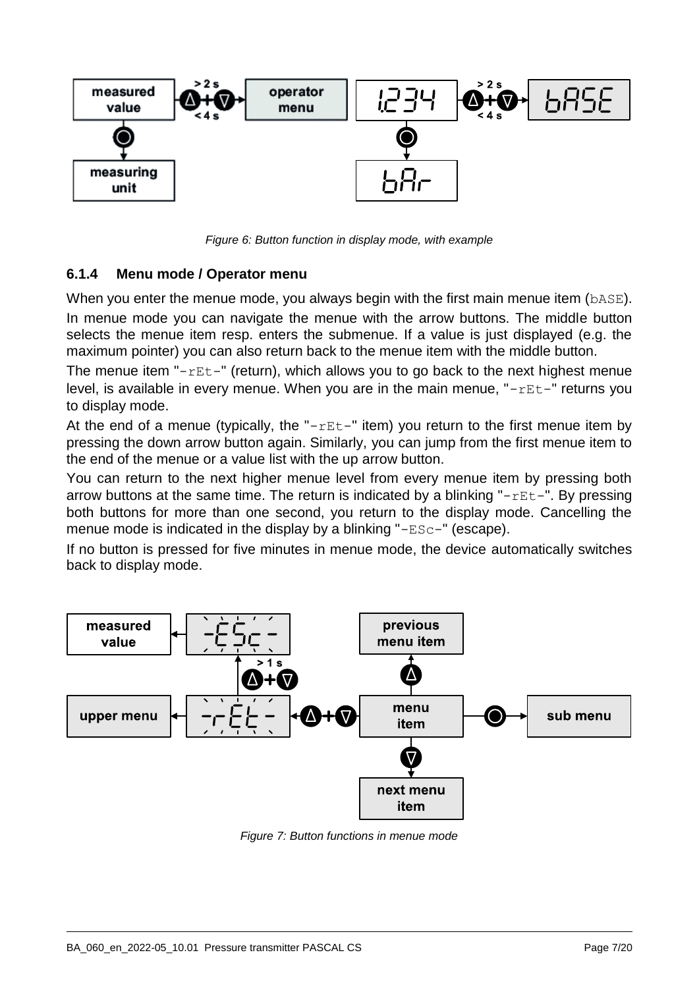

*Figure 6: Button function in display mode, with example*

## **6.1.4 Menu mode / Operator menu**

When you enter the menue mode, you always begin with the first main menue item (bASE).

In menue mode you can navigate the menue with the arrow buttons. The middle button selects the menue item resp. enters the submenue. If a value is just displayed (e.g. the maximum pointer) you can also return back to the menue item with the middle button.

The menue item " $rEt-$ " (return), which allows you to go back to the next highest menue level, is available in every menue. When you are in the main menue, "-rEt-" returns you to display mode.

At the end of a menue (typically, the " $rEt-$ " item) you return to the first menue item by pressing the down arrow button again. Similarly, you can jump from the first menue item to the end of the menue or a value list with the up arrow button.

You can return to the next higher menue level from every menue item by pressing both arrow buttons at the same time. The return is indicated by a blinking " $rEt$  $-$ ". By pressing both buttons for more than one second, you return to the display mode. Cancelling the menue mode is indicated in the display by a blinking "-ESc-" (escape).

If no button is pressed for five minutes in menue mode, the device automatically switches back to display mode.



*Figure 7: Button functions in menue mode*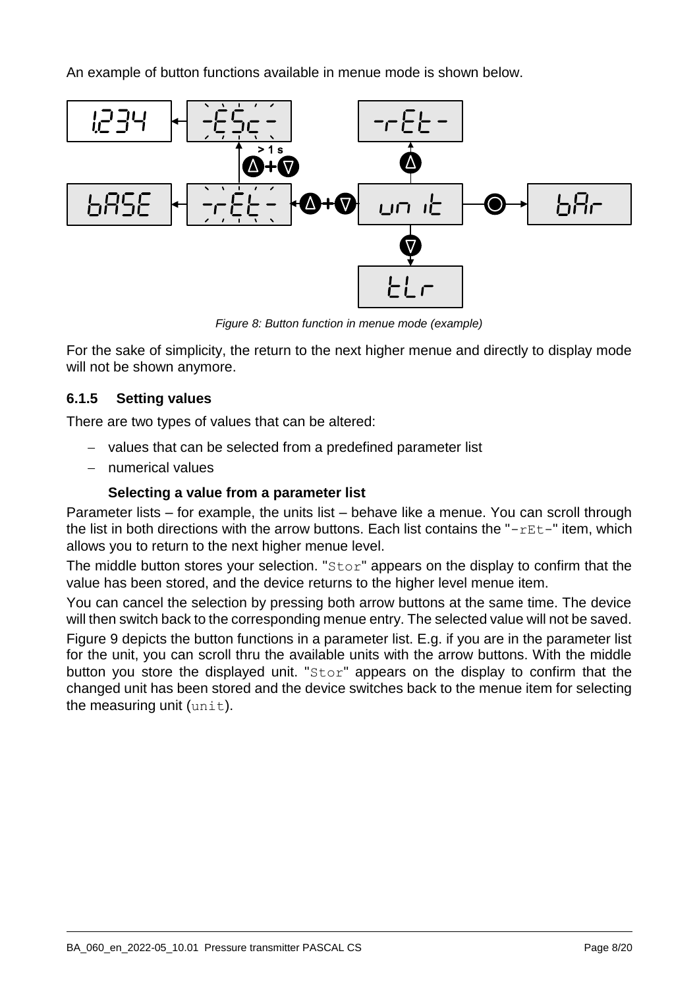An example of button functions available in menue mode is shown below.



*Figure 8: Button function in menue mode (example)*

For the sake of simplicity, the return to the next higher menue and directly to display mode will not be shown anymore.

## **6.1.5 Setting values**

There are two types of values that can be altered:

- values that can be selected from a predefined parameter list
- numerical values

## **Selecting a value from a parameter list**

Parameter lists – for example, the units list – behave like a menue. You can scroll through the list in both directions with the arrow buttons. Each list contains the " $rEt$  $-$ " item, which allows you to return to the next higher menue level.

The middle button stores your selection. " $Stor$ " appears on the display to confirm that the value has been stored, and the device returns to the higher level menue item.

You can cancel the selection by pressing both arrow buttons at the same time. The device will then switch back to the corresponding menue entry. The selected value will not be saved.

Figure [9](#page-8-0) depicts the button functions in a parameter list. E.g. if you are in the parameter list for the unit, you can scroll thru the available units with the arrow buttons. With the middle button you store the displayed unit. "Stor" appears on the display to confirm that the changed unit has been stored and the device switches back to the menue item for selecting the measuring unit  $(\text{unit})$ .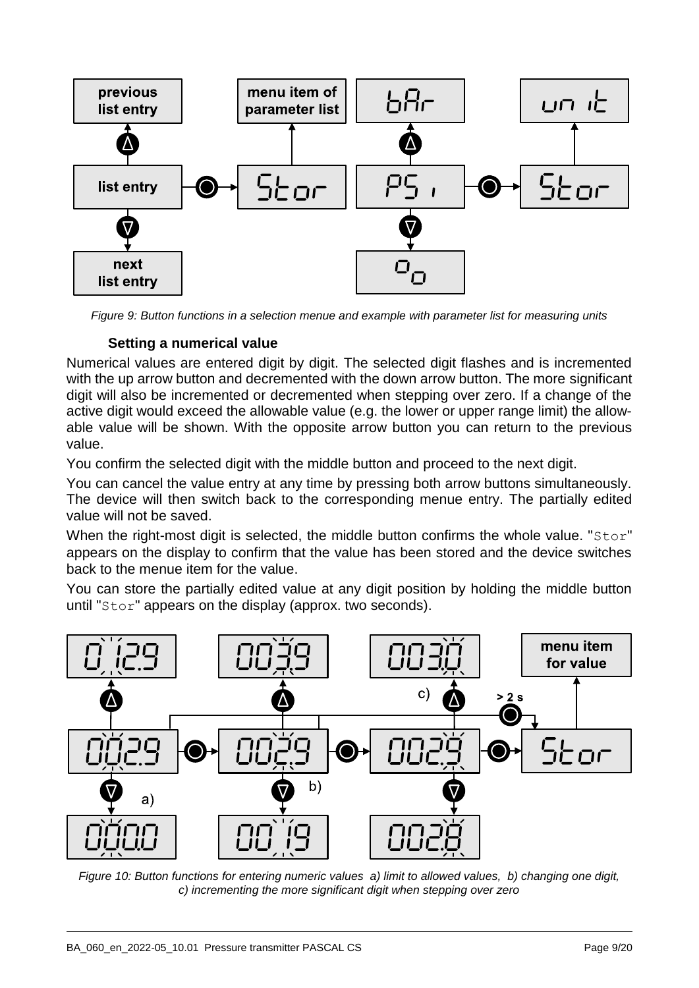

<span id="page-8-0"></span>*Figure 9: Button functions in a selection menue and example with parameter list for measuring units*

## **Setting a numerical value**

Numerical values are entered digit by digit. The selected digit flashes and is incremented with the up arrow button and decremented with the down arrow button. The more significant digit will also be incremented or decremented when stepping over zero. If a change of the active digit would exceed the allowable value (e.g. the lower or upper range limit) the allowable value will be shown. With the opposite arrow button you can return to the previous value.

You confirm the selected digit with the middle button and proceed to the next digit.

You can cancel the value entry at any time by pressing both arrow buttons simultaneously. The device will then switch back to the corresponding menue entry. The partially edited value will not be saved.

When the right-most digit is selected, the middle button confirms the whole value. "Stor" appears on the display to confirm that the value has been stored and the device switches back to the menue item for the value.

You can store the partially edited value at any digit position by holding the middle button until "Stor" appears on the display (approx. two seconds).



*Figure 10: Button functions for entering numeric values a) limit to allowed values, b) changing one digit, c) incrementing the more significant digit when stepping over zero*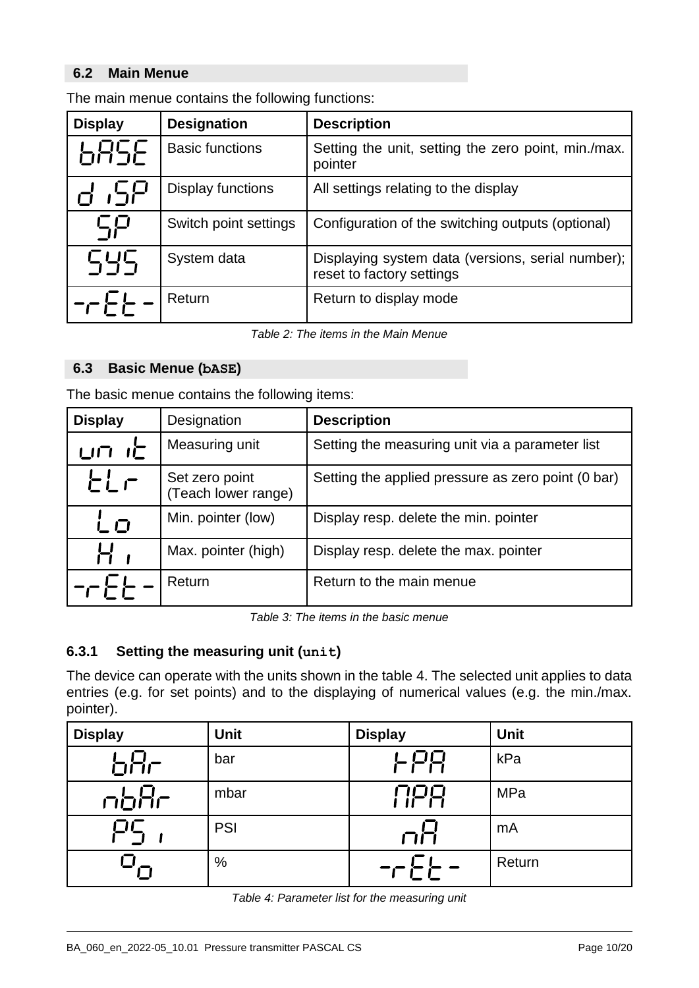## **6.2 Main Menue**

| <b>Display</b>        | <b>Designation</b>       | <b>Description</b>                                                             |
|-----------------------|--------------------------|--------------------------------------------------------------------------------|
| <b>GRSE</b>           | <b>Basic functions</b>   | Setting the unit, setting the zero point, min./max.<br>pointer                 |
| 55 ה                  | <b>Display functions</b> | All settings relating to the display                                           |
| ςp                    | Switch point settings    | Configuration of the switching outputs (optional)                              |
| 545                   | System data              | Displaying system data (versions, serial number);<br>reset to factory settings |
| $-\sqrt{\frac{1}{n}}$ | Return                   | Return to display mode                                                         |

The main menue contains the following functions:

*Table 2: The items in the Main Menue*

#### **6.3 Basic Menue (bASE)**

The basic menue contains the following items:

| <b>Display</b> | Designation                           | <b>Description</b>                                 |
|----------------|---------------------------------------|----------------------------------------------------|
| பா ட்          | Measuring unit                        | Setting the measuring unit via a parameter list    |
| ELF            | Set zero point<br>(Teach lower range) | Setting the applied pressure as zero point (0 bar) |
| ட் ப           | Min. pointer (low)                    | Display resp. delete the min. pointer              |
|                | Max. pointer (high)                   | Display resp. delete the max. pointer              |
|                | Return                                | Return to the main menue                           |

*Table 3: The items in the basic menue*

## **6.3.1 Setting the measuring unit (unit)**

The device can operate with the units shown in the table [4.](#page-9-0) The selected unit applies to data entries (e.g. for set points) and to the displaying of numerical values (e.g. the min./max. pointer).

<span id="page-9-0"></span>

| <b>Display</b> | <b>Unit</b> | <b>Display</b> | <b>Unit</b> |
|----------------|-------------|----------------|-------------|
| bBr            | bar         | 上尸日            | kPa         |
| nbHr           | mbar        | NPR            | <b>MPa</b>  |
|                | <b>PSI</b>  | 门门             | mA          |
|                | %           | ーー・ニー          | Return      |

| Table 4: Parameter list for the measuring unit |  |  |  |  |  |
|------------------------------------------------|--|--|--|--|--|
|------------------------------------------------|--|--|--|--|--|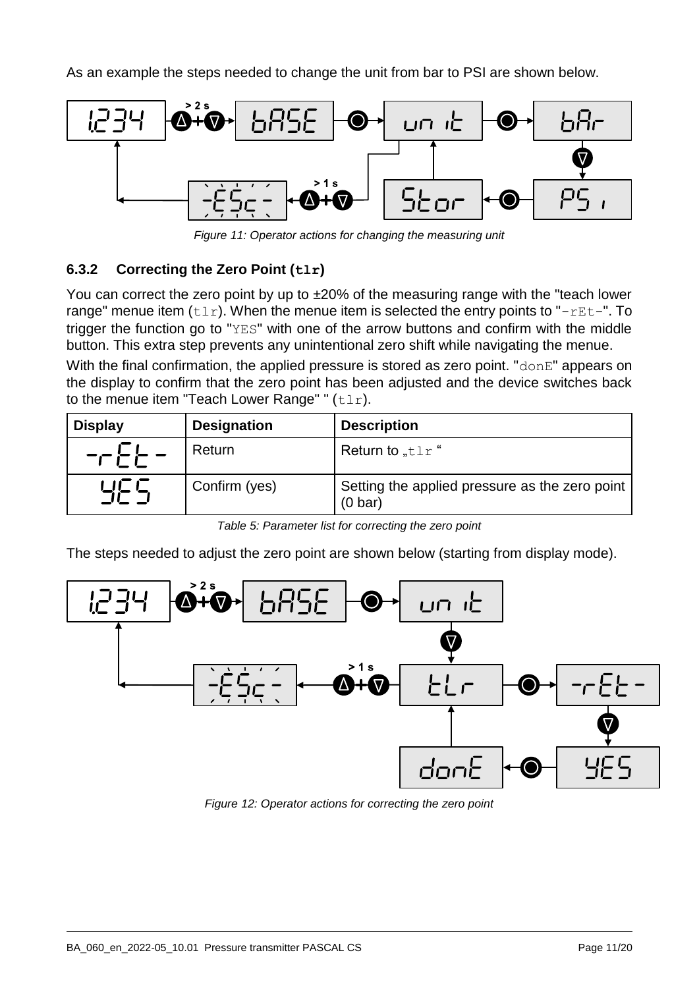As an example the steps needed to change the unit from bar to PSI are shown below.



*Figure 11: Operator actions for changing the measuring unit*

## **6.3.2 Correcting the Zero Point (tlr)**

You can correct the zero point by up to ±20% of the measuring range with the "teach lower range" menue item  $(t \ln t)$ . When the menue item is selected the entry points to "-rEt-". To trigger the function go to "YES" with one of the arrow buttons and confirm with the middle button. This extra step prevents any unintentional zero shift while navigating the menue.

With the final confirmation, the applied pressure is stored as zero point. " $\text{donE}$ " appears on the display to confirm that the zero point has been adjusted and the device switches back to the menue item "Teach Lower Range" "  $(t \ln t)$ .

| <b>Display</b> | <b>Designation</b> | <b>Description</b>                                                  |
|----------------|--------------------|---------------------------------------------------------------------|
| ╶┌┝┝           | Return             | Return to " $t1r$ "                                                 |
| 닉는 느           | Confirm (yes)      | Setting the applied pressure as the zero point<br>$(0 \text{ bar})$ |

*Table 5: Parameter list for correcting the zero point*

The steps needed to adjust the zero point are shown below (starting from display mode).



*Figure 12: Operator actions for correcting the zero point*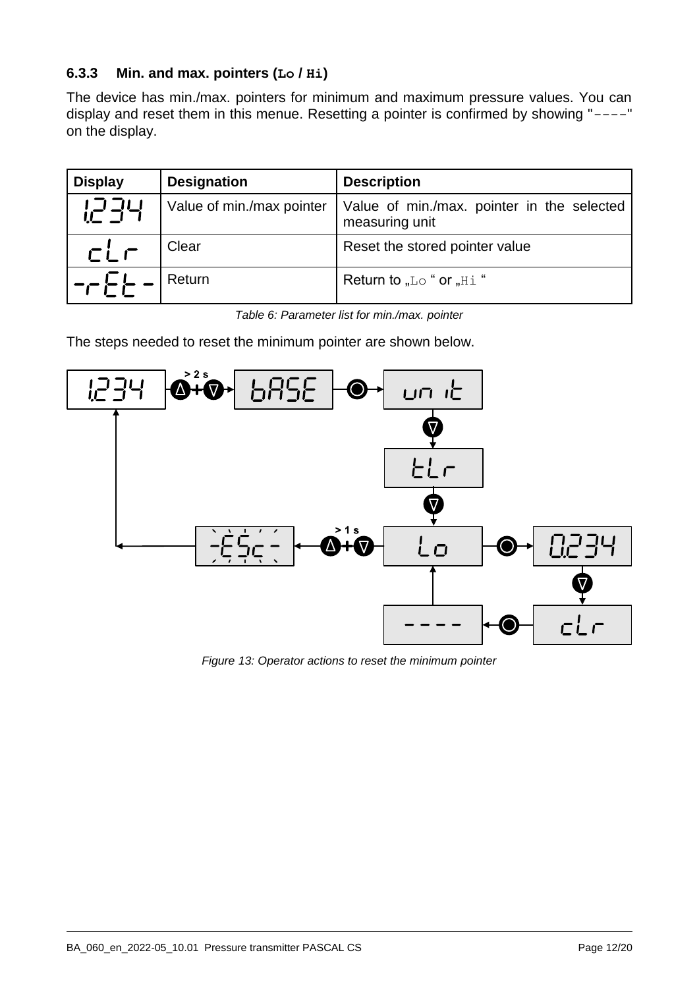## **6.3.3 Min. and max. pointers (Lo / Hi)**

The device has min./max. pointers for minimum and maximum pressure values. You can display and reset them in this menue. Resetting a pointer is confirmed by showing "----" on the display.

| <b>Display</b>              | <b>Designation</b>        | <b>Description</b>                                           |
|-----------------------------|---------------------------|--------------------------------------------------------------|
| 1234                        | Value of min./max pointer | Value of min./max. pointer in the selected<br>measuring unit |
| CLF                         | Clear                     | Reset the stored pointer value                               |
| $\neg \vdash \vdash \vdash$ | Return                    | Return to "Lo " or "Hi"                                      |

*Table 6: Parameter list for min./max. pointer*

The steps needed to reset the minimum pointer are shown below.



*Figure 13: Operator actions to reset the minimum pointer*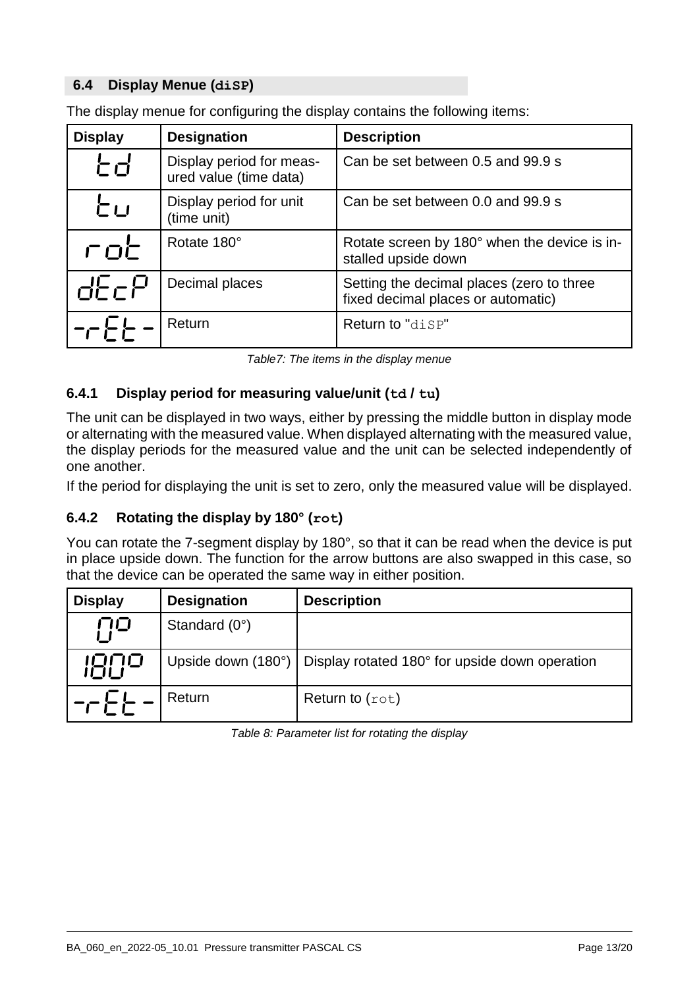## **6.4 Display Menue (diSP)**

| <b>Display</b> | <b>Designation</b>                                 | <b>Description</b>                                                              |
|----------------|----------------------------------------------------|---------------------------------------------------------------------------------|
| とぱ             | Display period for meas-<br>ured value (time data) | Can be set between 0.5 and 99.9 s                                               |
| 亡口             | Display period for unit<br>(time unit)             | Can be set between 0.0 and 99.9 s                                               |
| 广口仁            | Rotate 180°                                        | Rotate screen by 180° when the device is in-<br>stalled upside down             |
| dEcP           | Decimal places                                     | Setting the decimal places (zero to three<br>fixed decimal places or automatic) |
|                | Return                                             | Return to "disp"                                                                |

The display menue for configuring the display contains the following items:

*Table7: The items in the display menue*

## <span id="page-12-0"></span>**6.4.1 Display period for measuring value/unit (td / tu)**

The unit can be displayed in two ways, either by pressing the middle button in display mode or alternating with the measured value. When displayed alternating with the measured value, the display periods for the measured value and the unit can be selected independently of one another.

If the period for displaying the unit is set to zero, only the measured value will be displayed.

## **6.4.2 Rotating the display by 180° (rot)**

You can rotate the 7-segment display by 180°, so that it can be read when the device is put in place upside down. The function for the arrow buttons are also swapped in this case, so that the device can be operated the same way in either position.

| <b>Display</b> | <b>Designation</b>     | <b>Description</b>                                                  |
|----------------|------------------------|---------------------------------------------------------------------|
| ΠO             | Standard $(0^{\circ})$ |                                                                     |
| 1809           |                        | Upside down (180°)   Display rotated 180° for upside down operation |
| $    -$        | Return                 | Return to $(\text{rot})$                                            |

*Table 8: Parameter list for rotating the display*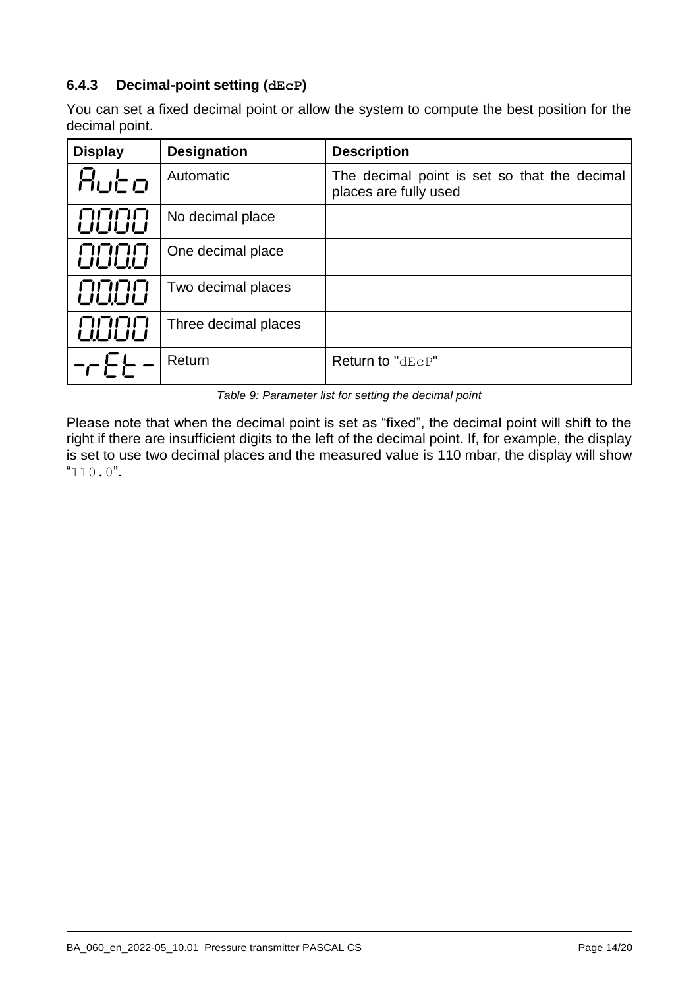## **6.4.3 Decimal-point setting (dEcP)**

You can set a fixed decimal point or allow the system to compute the best position for the decimal point.

| <b>Display</b> | <b>Designation</b>   | <b>Description</b>                                                    |
|----------------|----------------------|-----------------------------------------------------------------------|
| Rubo           | Automatic            | The decimal point is set so that the decimal<br>places are fully used |
| 8888           | No decimal place     |                                                                       |
| 0000           | One decimal place    |                                                                       |
| 8888           | Two decimal places   |                                                                       |
| COOO           | Three decimal places |                                                                       |
|                | Return               | Return to "dEcP"                                                      |

*Table 9: Parameter list for setting the decimal point*

Please note that when the decimal point is set as "fixed", the decimal point will shift to the right if there are insufficient digits to the left of the decimal point. If, for example, the display is set to use two decimal places and the measured value is 110 mbar, the display will show "110.0".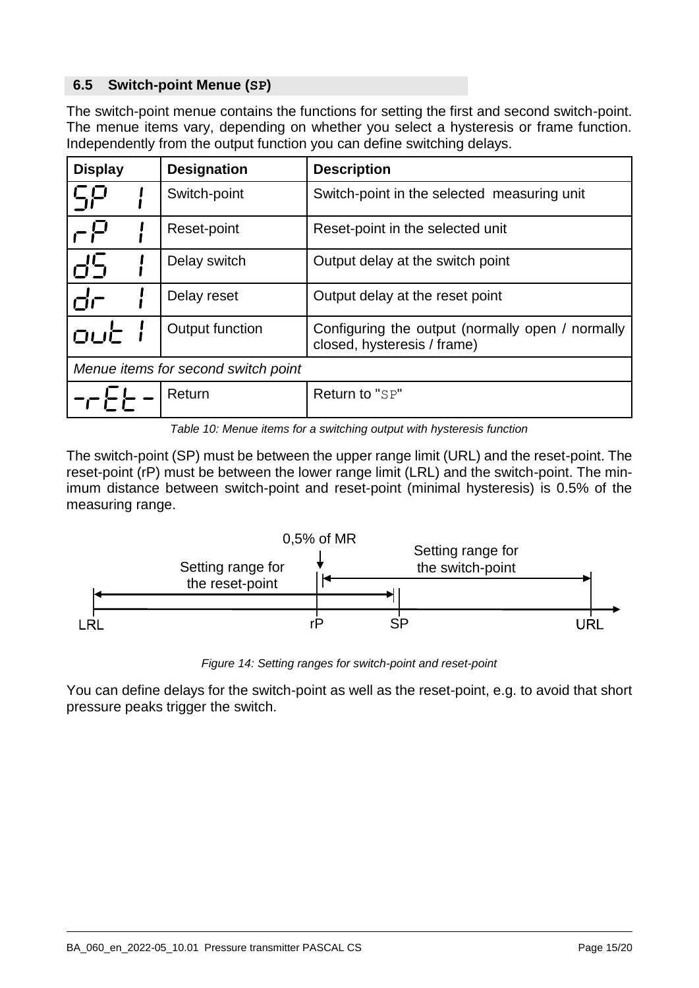## **6.5 Switch-point Menue (SP)**

The switch-point menue contains the functions for setting the first and second switch-point. The menue items vary, depending on whether you select a hysteresis or frame function. Independently from the output function you can define switching delays.

| <b>Display</b>                      |  | <b>Designation</b> | <b>Description</b>                                                              |
|-------------------------------------|--|--------------------|---------------------------------------------------------------------------------|
|                                     |  | Switch-point       | Switch-point in the selected measuring unit                                     |
|                                     |  | Reset-point        | Reset-point in the selected unit                                                |
|                                     |  | Delay switch       | Output delay at the switch point                                                |
| dr                                  |  | Delay reset        | Output delay at the reset point                                                 |
| OUC                                 |  | Output function    | Configuring the output (normally open / normally<br>closed, hysteresis / frame) |
| Menue items for second switch point |  |                    |                                                                                 |
|                                     |  | Return             | Return to "SP"                                                                  |

*Table 10: Menue items for a switching output with hysteresis function*

The switch-point (SP) must be between the upper range limit (URL) and the reset-point. The reset-point (rP) must be between the lower range limit (LRL) and the switch-point. The minimum distance between switch-point and reset-point (minimal hysteresis) is 0.5% of the measuring range.



*Figure 14: Setting ranges for switch-point and reset-point*

You can define delays for the switch-point as well as the reset-point, e.g. to avoid that short pressure peaks trigger the switch.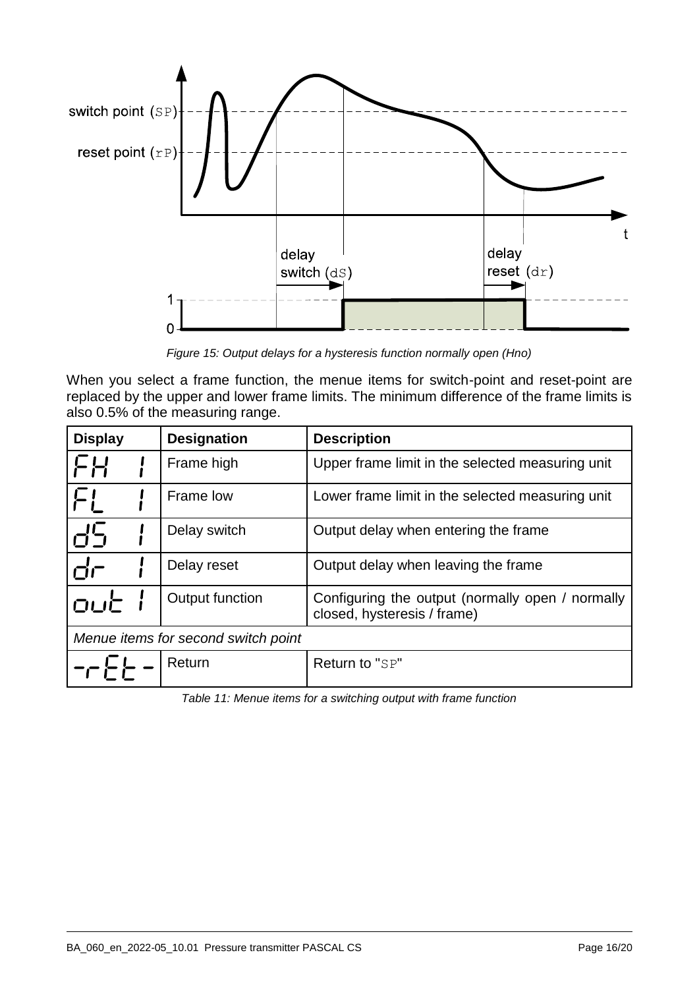

*Figure 15: Output delays for a hysteresis function normally open (Hno)*

When you select a frame function, the menue items for switch-point and reset-point are replaced by the upper and lower frame limits. The minimum difference of the frame limits is also 0.5% of the measuring range.

| <b>Display</b> | <b>Designation</b>                  | <b>Description</b>                                                              |
|----------------|-------------------------------------|---------------------------------------------------------------------------------|
| FH             | Frame high                          | Upper frame limit in the selected measuring unit                                |
|                | Frame low                           | Lower frame limit in the selected measuring unit                                |
|                | Delay switch                        | Output delay when entering the frame                                            |
| ்ட்            | Delay reset                         | Output delay when leaving the frame                                             |
| out            | Output function                     | Configuring the output (normally open / normally<br>closed, hysteresis / frame) |
|                | Menue items for second switch point |                                                                                 |
|                | Return                              | Return to "SP"                                                                  |

*Table 11: Menue items for a switching output with frame function*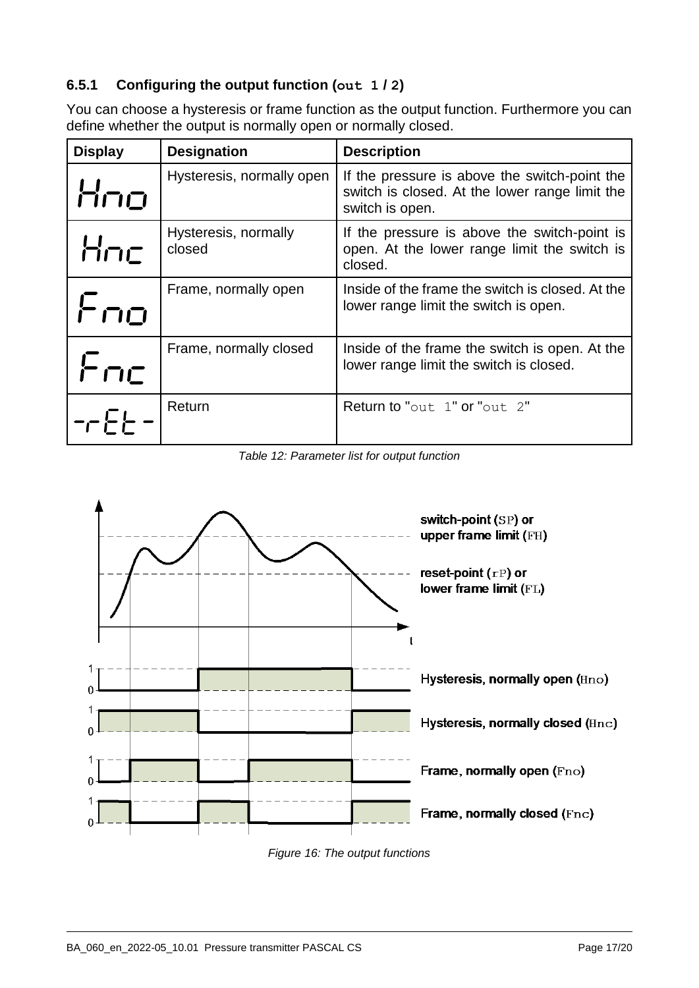## **6.5.1 Configuring the output function (out 1 / 2)**

You can choose a hysteresis or frame function as the output function. Furthermore you can define whether the output is normally open or normally closed.

| <b>Display</b> | <b>Designation</b>             | <b>Description</b>                                                                                                 |
|----------------|--------------------------------|--------------------------------------------------------------------------------------------------------------------|
| Hrio           | Hysteresis, normally open      | If the pressure is above the switch-point the<br>switch is closed. At the lower range limit the<br>switch is open. |
| Hnc            | Hysteresis, normally<br>closed | If the pressure is above the switch-point is<br>open. At the lower range limit the switch is<br>closed.            |
| Fro            | Frame, normally open           | Inside of the frame the switch is closed. At the<br>lower range limit the switch is open.                          |
| Fric           | Frame, normally closed         | Inside of the frame the switch is open. At the<br>lower range limit the switch is closed.                          |
|                | Return                         | Return to "out 1" or "out 2"                                                                                       |

*Table 12: Parameter list for output function*



*Figure 16: The output functions*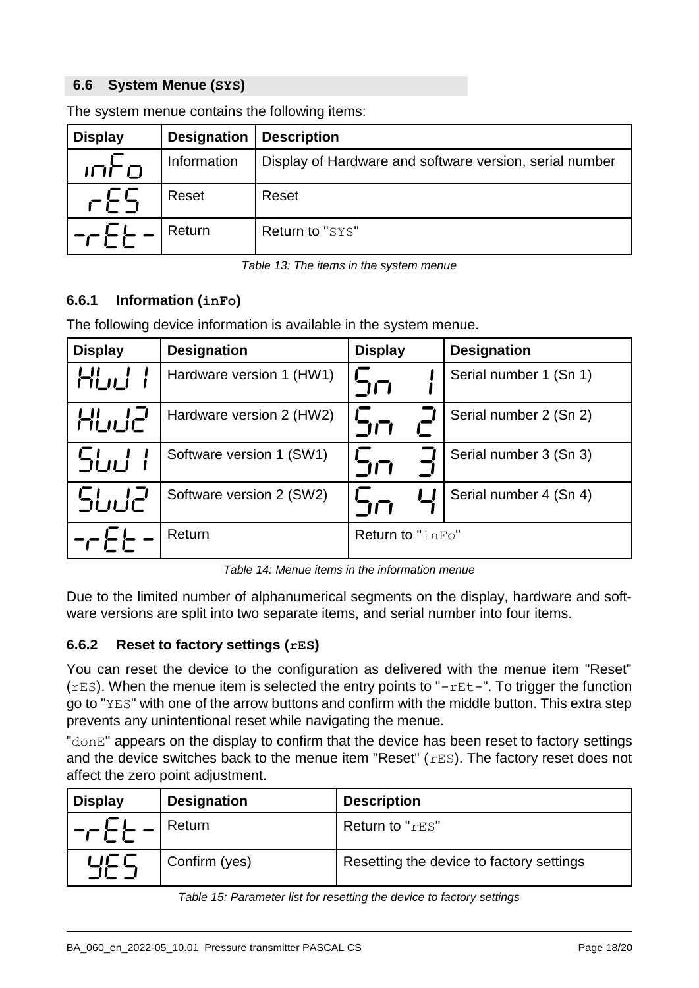## **6.6 System Menue (SYS)**

| <b>Display</b> | <b>Designation</b> | <b>Description</b>                                      |
|----------------|--------------------|---------------------------------------------------------|
| ர் ப           | Information        | Display of Hardware and software version, serial number |
| $E_{\rm F}$    | Reset              | Reset                                                   |
|                | Return             | Return to "SYS"                                         |

The system menue contains the following items:

*Table 13: The items in the system menue*

## **6.6.1 Information (inFo)**

The following device information is available in the system menue.

| <b>Display</b> | <b>Designation</b>       | <b>Display</b>   | <b>Designation</b>     |
|----------------|--------------------------|------------------|------------------------|
| HUU            | Hardware version 1 (HW1) | コロ               | Serial number 1 (Sn 1) |
| HUU2           | Hardware version 2 (HW2) | コロ               | Serial number 2 (Sn 2) |
| SLU            | Software version 1 (SW1) | コロ               | Serial number 3 (Sn 3) |
| SLIJ2          | Software version 2 (SW2) | $\Box \Box$      | Serial number 4 (Sn 4) |
|                | Return                   | Return to "inFo" |                        |

*Table 14: Menue items in the information menue*

Due to the limited number of alphanumerical segments on the display, hardware and software versions are split into two separate items, and serial number into four items.

## **6.6.2 Reset to factory settings (rES)**

You can reset the device to the configuration as delivered with the menue item "Reset"  $(rES)$ . When the menue item is selected the entry points to " $-rEt$ . To trigger the function go to "YES" with one of the arrow buttons and confirm with the middle button. This extra step prevents any unintentional reset while navigating the menue.

"donE" appears on the display to confirm that the device has been reset to factory settings and the device switches back to the menue item "Reset" ( $rES$ ). The factory reset does not affect the zero point adjustment.

| <b>Display</b> | <b>Designation</b> | <b>Description</b>                       |
|----------------|--------------------|------------------------------------------|
| ╶┌┌├┌─         | Return             | Return to "rES"                          |
| 닉드드            | Confirm (yes)      | Resetting the device to factory settings |

*Table 15: Parameter list for resetting the device to factory settings*